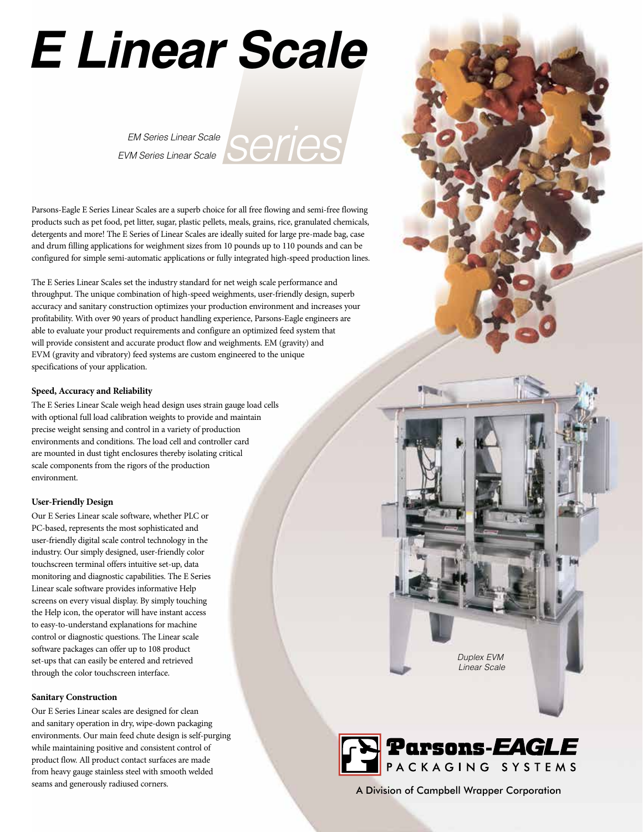# **E Linear Scale**

EVM Series Linear Scale



Parsons-Eagle E Series Linear Scales are a superb choice for all free flowing and semi-free flowing products such as pet food, pet litter, sugar, plastic pellets, meals, grains, rice, granulated chemicals, detergents and more! The E Series of Linear Scales are ideally suited for large pre-made bag, case and drum filling applications for weighment sizes from 10 pounds up to 110 pounds and can be configured for simple semi-automatic applications or fully integrated high-speed production lines.

The E Series Linear Scales set the industry standard for net weigh scale performance and throughput. The unique combination of high-speed weighments, user-friendly design, superb accuracy and sanitary construction optimizes your production environment and increases your profitability. With over 90 years of product handling experience, Parsons-Eagle engineers are able to evaluate your product requirements and configure an optimized feed system that will provide consistent and accurate product flow and weighments. EM (gravity) and EVM (gravity and vibratory) feed systems are custom engineered to the unique specifications of your application.

#### **Speed, Accuracy and Reliability**

The E Series Linear Scale weigh head design uses strain gauge load cells with optional full load calibration weights to provide and maintain precise weight sensing and control in a variety of production environments and conditions. The load cell and controller card are mounted in dust tight enclosures thereby isolating critical scale components from the rigors of the production environment.

### **User-Friendly Design**

Our E Series Linear scale software, whether PLC or PC-based, represents the most sophisticated and user-friendly digital scale control technology in the industry. Our simply designed, user-friendly color touchscreen terminal offers intuitive set-up, data monitoring and diagnostic capabilities. The E Series Linear scale software provides informative Help screens on every visual display. By simply touching the Help icon, the operator will have instant access to easy-to-understand explanations for machine control or diagnostic questions. The Linear scale software packages can offer up to 108 product set-ups that can easily be entered and retrieved through the color touchscreen interface.

#### **Sanitary Construction**

Our E Series Linear scales are designed for clean and sanitary operation in dry, wipe-down packaging environments. Our main feed chute design is self-purging while maintaining positive and consistent control of product flow. All product contact surfaces are made from heavy gauge stainless steel with smooth welded

Duplex EVM Linear Scale



seams and generously radiused corners.<br>
A Division of Campbell Wrapper Corporation